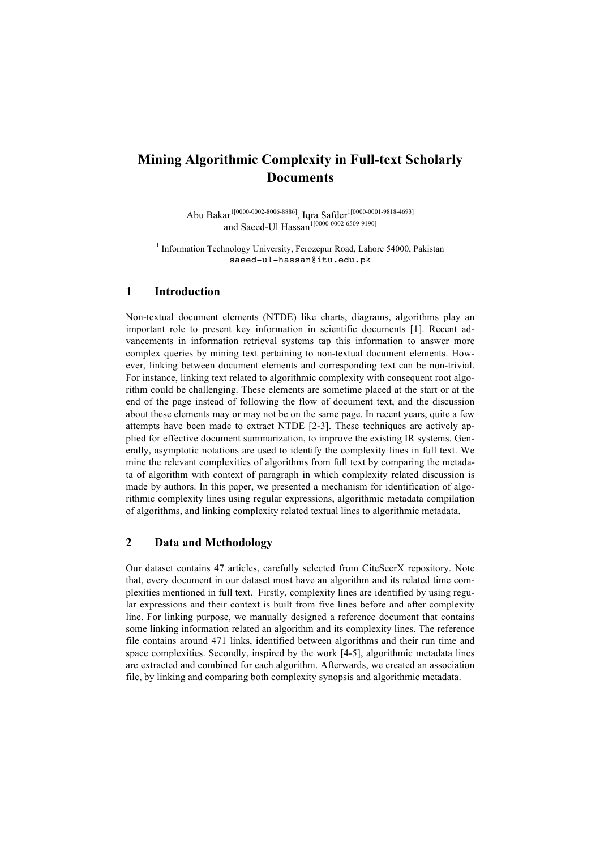# **Mining Algorithmic Complexity in Full-text Scholarly Documents**

Abu Bakar<sup>1[0000-0002-8006-8886]</sup>, Iqra Safder<sup>1[0000-0001-9818-4693]</sup> and Saeed-Ul Hassan<sup>1[0000-0002-6509-9190]</sup>

<sup>1</sup> Information Technology University, Ferozepur Road, Lahore 54000, Pakistan saeed-ul-hassan@itu.edu.pk

### **1 Introduction**

Non-textual document elements (NTDE) like charts, diagrams, algorithms play an important role to present key information in scientific documents [1]. Recent advancements in information retrieval systems tap this information to answer more complex queries by mining text pertaining to non-textual document elements. However, linking between document elements and corresponding text can be non-trivial. For instance, linking text related to algorithmic complexity with consequent root algorithm could be challenging. These elements are sometime placed at the start or at the end of the page instead of following the flow of document text, and the discussion about these elements may or may not be on the same page. In recent years, quite a few attempts have been made to extract NTDE [2-3]. These techniques are actively applied for effective document summarization, to improve the existing IR systems. Generally, asymptotic notations are used to identify the complexity lines in full text. We mine the relevant complexities of algorithms from full text by comparing the metadata of algorithm with context of paragraph in which complexity related discussion is made by authors. In this paper, we presented a mechanism for identification of algorithmic complexity lines using regular expressions, algorithmic metadata compilation of algorithms, and linking complexity related textual lines to algorithmic metadata.

# **2 Data and Methodology**

Our dataset contains 47 articles, carefully selected from CiteSeerX repository. Note that, every document in our dataset must have an algorithm and its related time complexities mentioned in full text. Firstly, complexity lines are identified by using regular expressions and their context is built from five lines before and after complexity line. For linking purpose, we manually designed a reference document that contains some linking information related an algorithm and its complexity lines. The reference file contains around 471 links, identified between algorithms and their run time and space complexities. Secondly, inspired by the work [4-5], algorithmic metadata lines are extracted and combined for each algorithm. Afterwards, we created an association file, by linking and comparing both complexity synopsis and algorithmic metadata.